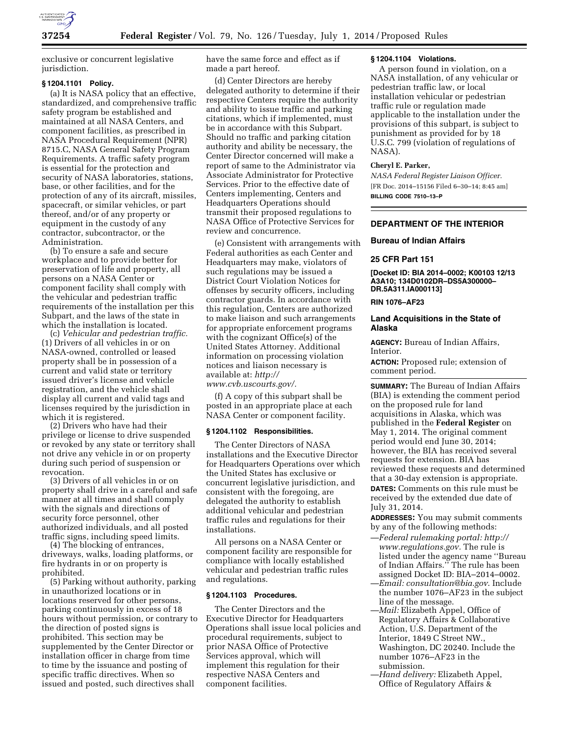

exclusive or concurrent legislative jurisdiction.

### **§ 1204.1101 Policy.**

(a) It is NASA policy that an effective, standardized, and comprehensive traffic safety program be established and maintained at all NASA Centers, and component facilities, as prescribed in NASA Procedural Requirement (NPR) 8715.C, NASA General Safety Program Requirements. A traffic safety program is essential for the protection and security of NASA laboratories, stations, base, or other facilities, and for the protection of any of its aircraft, missiles, spacecraft, or similar vehicles, or part thereof, and/or of any property or equipment in the custody of any contractor, subcontractor, or the Administration.

(b) To ensure a safe and secure workplace and to provide better for preservation of life and property, all persons on a NASA Center or component facility shall comply with the vehicular and pedestrian traffic requirements of the installation per this Subpart, and the laws of the state in which the installation is located.

(c) *Vehicular and pedestrian traffic.*  (1) Drivers of all vehicles in or on NASA-owned, controlled or leased property shall be in possession of a current and valid state or territory issued driver's license and vehicle registration, and the vehicle shall display all current and valid tags and licenses required by the jurisdiction in which it is registered.

(2) Drivers who have had their privilege or license to drive suspended or revoked by any state or territory shall not drive any vehicle in or on property during such period of suspension or revocation.

(3) Drivers of all vehicles in or on property shall drive in a careful and safe manner at all times and shall comply with the signals and directions of security force personnel, other authorized individuals, and all posted traffic signs, including speed limits.

(4) The blocking of entrances, driveways, walks, loading platforms, or fire hydrants in or on property is prohibited.

(5) Parking without authority, parking in unauthorized locations or in locations reserved for other persons, parking continuously in excess of 18 hours without permission, or contrary to the direction of posted signs is prohibited. This section may be supplemented by the Center Director or installation officer in charge from time to time by the issuance and posting of specific traffic directives. When so issued and posted, such directives shall

have the same force and effect as if made a part hereof.

(d) Center Directors are hereby delegated authority to determine if their respective Centers require the authority and ability to issue traffic and parking citations, which if implemented, must be in accordance with this Subpart. Should no traffic and parking citation authority and ability be necessary, the Center Director concerned will make a report of same to the Administrator via Associate Administrator for Protective Services. Prior to the effective date of Centers implementing, Centers and Headquarters Operations should transmit their proposed regulations to NASA Office of Protective Services for review and concurrence.

(e) Consistent with arrangements with Federal authorities as each Center and Headquarters may make, violators of such regulations may be issued a District Court Violation Notices for offenses by security officers, including contractor guards. In accordance with this regulation, Centers are authorized to make liaison and such arrangements for appropriate enforcement programs with the cognizant Office(s) of the United States Attorney. Additional information on processing violation notices and liaison necessary is available at: *[http://](http://www.cvb.uscourts.gov/)*

*[www.cvb.uscourts.gov/.](http://www.cvb.uscourts.gov/)* 

(f) A copy of this subpart shall be posted in an appropriate place at each NASA Center or component facility.

#### **§ 1204.1102 Responsibilities.**

The Center Directors of NASA installations and the Executive Director for Headquarters Operations over which the United States has exclusive or concurrent legislative jurisdiction, and consistent with the foregoing, are delegated the authority to establish additional vehicular and pedestrian traffic rules and regulations for their installations.

All persons on a NASA Center or component facility are responsible for compliance with locally established vehicular and pedestrian traffic rules and regulations.

#### **§ 1204.1103 Procedures.**

The Center Directors and the Executive Director for Headquarters Operations shall issue local policies and procedural requirements, subject to prior NASA Office of Protective Services approval, which will implement this regulation for their respective NASA Centers and component facilities.

#### **§ 1204.1104 Violations.**

A person found in violation, on a NASA installation, of any vehicular or pedestrian traffic law, or local installation vehicular or pedestrian traffic rule or regulation made applicable to the installation under the provisions of this subpart, is subject to punishment as provided for by 18 U.S.C. 799 (violation of regulations of NASA).

#### **Cheryl E. Parker,**

*NASA Federal Register Liaison Officer.*  [FR Doc. 2014–15156 Filed 6–30–14; 8:45 am] **BILLING CODE 7510–13–P** 

### **DEPARTMENT OF THE INTERIOR**

### **Bureau of Indian Affairs**

# **25 CFR Part 151**

**[Docket ID: BIA 2014–0002; K00103 12/13 A3A10; 134D0102DR–DS5A300000– DR.5A311.IA000113]** 

# **RIN 1076–AF23**

### **Land Acquisitions in the State of Alaska**

**AGENCY:** Bureau of Indian Affairs, **Interior** 

**ACTION:** Proposed rule; extension of comment period.

**SUMMARY:** The Bureau of Indian Affairs (BIA) is extending the comment period on the proposed rule for land acquisitions in Alaska, which was published in the **Federal Register** on May 1, 2014. The original comment period would end June 30, 2014; however, the BIA has received several requests for extension. BIA has reviewed these requests and determined that a 30-day extension is appropriate. **DATES:** Comments on this rule must be received by the extended due date of July 31, 2014.

**ADDRESSES:** You may submit comments by any of the following methods:

- —*Federal rulemaking portal: [http://](http://www.regulations.gov) [www.regulations.gov.](http://www.regulations.gov)* The rule is listed under the agency name ''Bureau of Indian Affairs.'' The rule has been assigned Docket ID: BIA–2014–0002.
- —*Email: [consultation@bia.gov](mailto:consultation@bia.gov)*. Include the number 1076–AF23 in the subject line of the message.
- —*Mail:* Elizabeth Appel, Office of Regulatory Affairs & Collaborative Action, U.S. Department of the Interior, 1849 C Street NW., Washington, DC 20240. Include the number 1076–AF23 in the submission.
- —*Hand delivery:* Elizabeth Appel, Office of Regulatory Affairs &